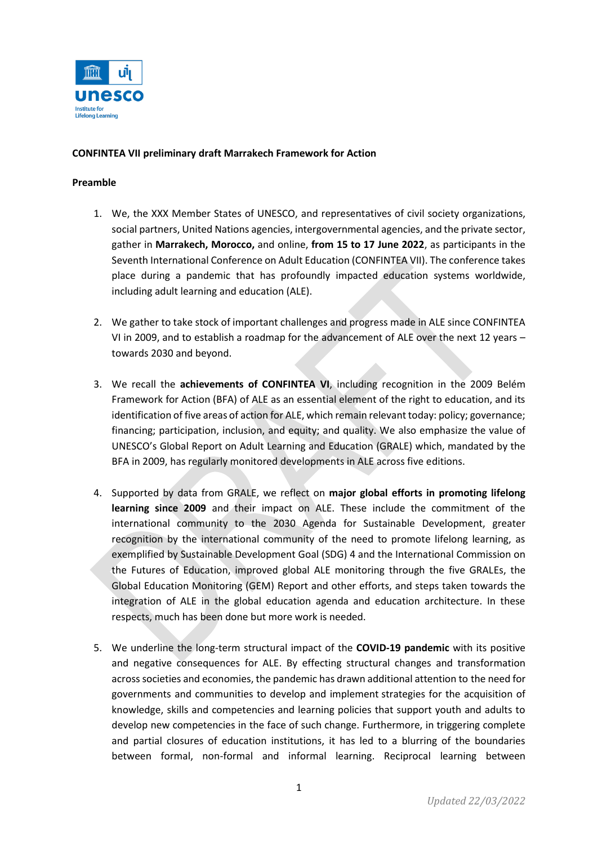

# **CONFINTEA VII preliminary draft Marrakech Framework for Action**

#### **Preamble**

- 1. We, the XXX Member States of UNESCO, and representatives of civil society organizations, social partners, United Nations agencies, intergovernmental agencies, and the private sector, gather in **Marrakech, Morocco,** and online, **from 15 to 17 June 2022**, as participants in the Seventh International Conference on Adult Education (CONFINTEA VII). The conference takes place during a pandemic that has profoundly impacted education systems worldwide, including adult learning and education (ALE).
- 2. We gather to take stock of important challenges and progress made in ALE since CONFINTEA VI in 2009, and to establish a roadmap for the advancement of ALE over the next 12 years – towards 2030 and beyond.
- 3. We recall the **achievements of CONFINTEA VI**, including recognition in the 2009 Belém Framework for Action (BFA) of ALE as an essential element of the right to education, and its identification of five areas of action for ALE, which remain relevant today: policy; governance; financing; participation, inclusion, and equity; and quality. We also emphasize the value of UNESCO's Global Report on Adult Learning and Education [\(GRALE\)](https://uil.unesco.org/adult-education/global-report) which, mandated by the BFA in 2009, has regularly monitored developments in ALE across five editions.
- 4. Supported by data from GRALE, we reflect on **major global efforts in promoting lifelong learning since 2009** and their impact on ALE. These include the commitment of the international community to the 2030 Agenda for Sustainable Development, greater recognition by the international community of the need to promote lifelong learning, as exemplified by Sustainable Development Goal (SDG) 4 and the International Commission on the Futures of Education, improved global ALE monitoring through the five GRALEs, the Global Education Monitoring (GEM) Report and other efforts, and steps taken towards the integration of ALE in the global education agenda and education architecture. In these respects, much has been done but more work is needed.
- 5. We underline the long-term structural impact of the **COVID-19 pandemic** with its positive and negative consequences for ALE. By effecting structural changes and transformation across societies and economies, the pandemic has drawn additional attention to the need for governments and communities to develop and implement strategies for the acquisition of knowledge, skills and competencies and learning policies that support youth and adults to develop new competencies in the face of such change. Furthermore, in triggering complete and partial closures of education institutions, it has led to a blurring of the boundaries between formal, non-formal and informal learning. Reciprocal learning between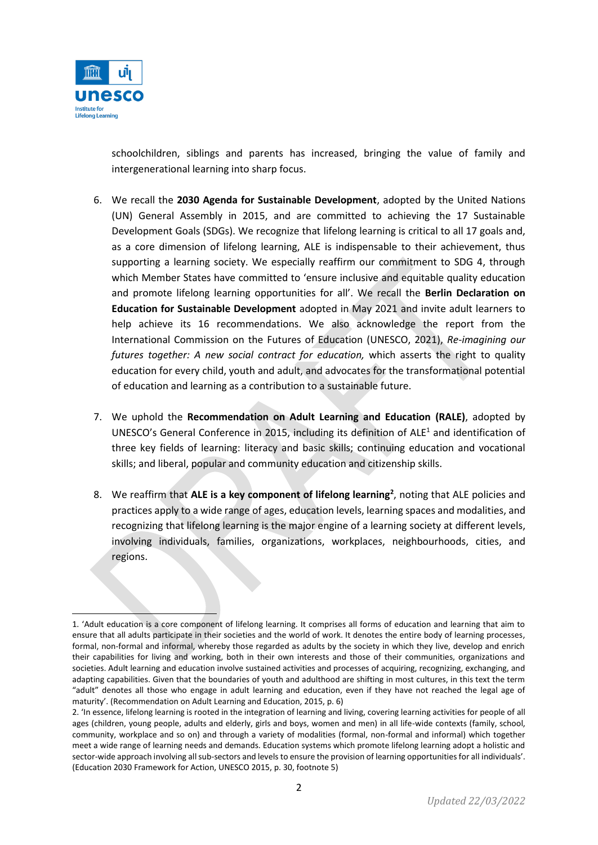

schoolchildren, siblings and parents has increased, bringing the value of family and intergenerational learning into sharp focus.

- 6. We recall the **2030 Agenda for Sustainable Development**, adopted by the United Nations (UN) General Assembly in 2015, and are committed to achieving the 17 Sustainable Development Goals (SDGs). We recognize that lifelong learning is critical to all 17 goals and, as a core dimension of lifelong learning, ALE is indispensable to their achievement, thus supporting a learning society. We especially reaffirm our commitment to SDG 4, through which Member States have committed to 'ensure inclusive and equitable quality education and promote lifelong learning opportunities for all'. We recall the **Berlin Declaration on Education for Sustainable Development** adopted in May 2021 and invite adult learners to help achieve its 16 recommendations. We also acknowledge the report from the International Commission on the Futures of Education (UNESCO, 2021), *[Re-imagining our](https://unesdoc.unesco.org/ark:/48223/pf0000379707)  [futures together: A new social contract for education,](https://unesdoc.unesco.org/ark:/48223/pf0000379707)* which asserts the right to quality education for every child, youth and adult, and advocates for the transformational potential of education and learning as a contribution to a sustainable future.
- 7. We uphold the **[Recommendation on Adult Learning and Education](https://unesdoc.unesco.org/ark:/48223/pf0000245179) (RALE)**, adopted by UNESCO's General Conference in 2015, including its definition of ALE<sup>1</sup> and identification of three key fields of learning: literacy and basic skills; continuing education and vocational skills; and liberal, popular and community education and citizenship skills.
- 8. We reaffirm that **ALE is a key component of lifelong learning<sup>2</sup>** , noting that ALE policies and practices apply to a wide range of ages, education levels, learning spaces and modalities, and recognizing that lifelong learning is the major engine of a learning society at different levels, involving individuals, families, organizations, workplaces, neighbourhoods, cities, and regions.

<sup>1.</sup> 'Adult education is a core component of lifelong learning. It comprises all forms of education and learning that aim to ensure that all adults participate in their societies and the world of work. It denotes the entire body of learning processes, formal, non-formal and informal, whereby those regarded as adults by the society in which they live, develop and enrich their capabilities for living and working, both in their own interests and those of their communities, organizations and societies. Adult learning and education involve sustained activities and processes of acquiring, recognizing, exchanging, and adapting capabilities. Given that the boundaries of youth and adulthood are shifting in most cultures, in this text the term "adult" denotes all those who engage in adult learning and education, even if they have not reached the legal age of maturity'. (Recommendation on Adult Learning and Education, 2015, p. 6)

<sup>2.</sup> 'In essence, lifelong learning is rooted in the integration of learning and living, covering learning activities for people of all ages (children, young people, adults and elderly, girls and boys, women and men) in all life-wide contexts (family, school, community, workplace and so on) and through a variety of modalities (formal, non-formal and informal) which together meet a wide range of learning needs and demands. Education systems which promote lifelong learning adopt a holistic and sector-wide approach involving all sub-sectors and levels to ensure the provision of learning opportunities for all individuals'. (Education 2030 Framework for Action, UNESCO 2015, p. 30, footnote 5)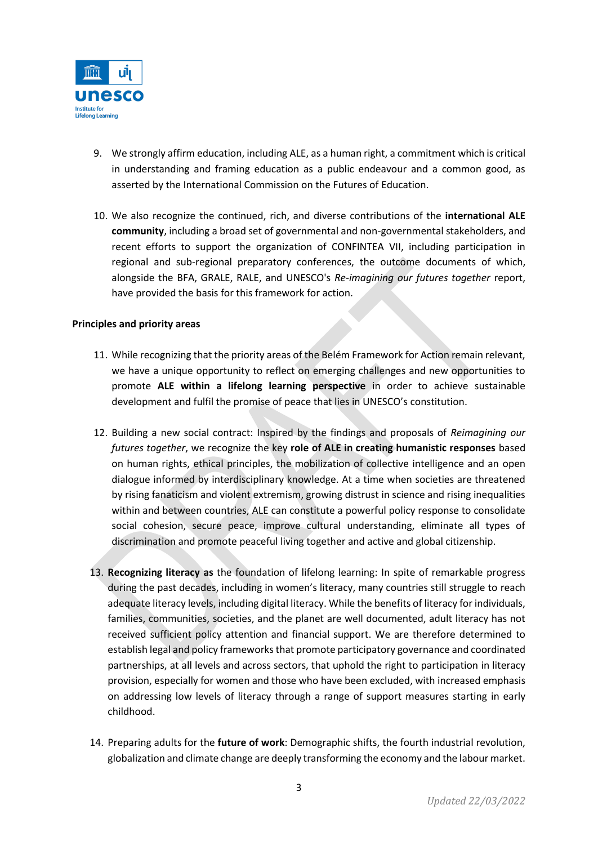

- 9. We strongly affirm education, including ALE, as a human right, a commitment which is critical in understanding and framing education as a public endeavour and a common good, as asserted by the International Commission on the Futures of Education.
- 10. We also recognize the continued, rich, and diverse contributions of the **international ALE community**, including a broad set of governmental and non-governmental stakeholders, and recent efforts to support the organization of CONFINTEA VII, including participation in regional and sub-regional preparatory conferences, the outcome documents of which, alongside the BFA, GRALE, RALE, and UNESCO's *Re-imagining our futures together* report, have provided the basis for this framework for action.

# **Principles and priority areas**

- 11. While recognizing that the priority areas of the Belém Framework for Action remain relevant, we have a unique opportunity to reflect on emerging challenges and new opportunities to promote **ALE within a lifelong learning perspective** in order to achieve sustainable development and fulfil the promise of peace that lies in UNESCO's constitution.
- 12. Building a new social contract: Inspired by the findings and proposals of *Reimagining our futures together*, we recognize the key **role of ALE in creating humanistic responses** based on human rights, ethical principles, the mobilization of collective intelligence and an open dialogue informed by interdisciplinary knowledge. At a time when societies are threatened by rising fanaticism and violent extremism, growing distrust in science and rising inequalities within and between countries, ALE can constitute a powerful policy response to consolidate social cohesion, secure peace, improve cultural understanding, eliminate all types of discrimination and promote peaceful living together and active and global citizenship.
- 13. **Recognizing literacy as** the foundation of lifelong learning: In spite of remarkable progress during the past decades, including in women's literacy, many countries still struggle to reach adequate literacy levels, including digital literacy. While the benefits of literacy for individuals, families, communities, societies, and the planet are well documented, adult literacy has not received sufficient policy attention and financial support. We are therefore determined to establish legal and policy frameworks that promote participatory governance and coordinated partnerships, at all levels and across sectors, that uphold the right to participation in literacy provision, especially for women and those who have been excluded, with increased emphasis on addressing low levels of literacy through a range of support measures starting in early childhood.
- 14. Preparing adults for the **future of work**: Demographic shifts, the fourth industrial revolution, globalization and climate change are deeply transforming the economy and the labour market.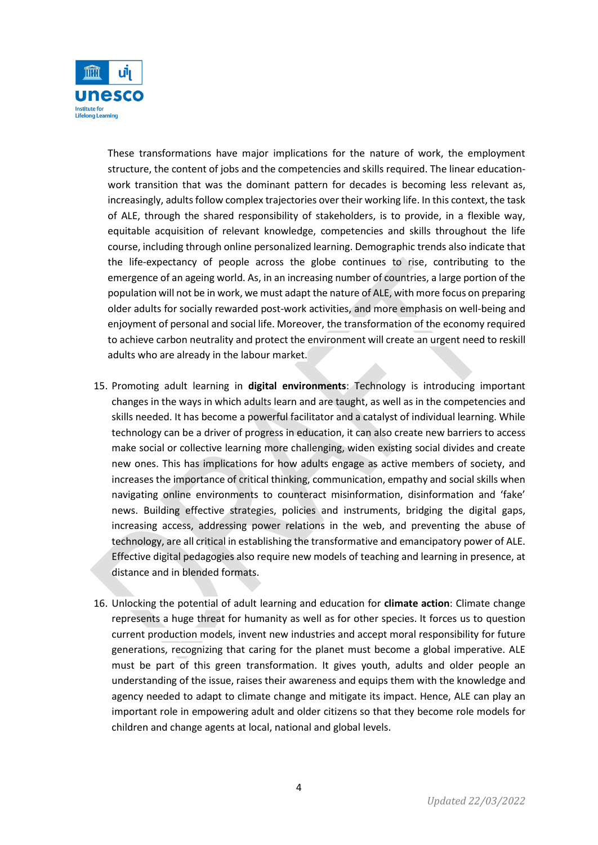

These transformations have major implications for the nature of work, the employment structure, the content of jobs and the competencies and skills required. The linear educationwork transition that was the dominant pattern for decades is becoming less relevant as, increasingly, adults follow complex trajectories over their working life. In this context, the task of ALE, through the shared responsibility of stakeholders, is to provide, in a flexible way, equitable acquisition of relevant knowledge, competencies and skills throughout the life course, including through online personalized learning. Demographic trends also indicate that the life-expectancy of people across the globe continues to rise, contributing to the emergence of an ageing world. As, in an increasing number of countries, a large portion of the population will not be in work, we must adapt the nature of ALE, with more focus on preparing older adults for socially rewarded post-work activities, and more emphasis on well-being and enjoyment of personal and social life. Moreover, the transformation of the economy required to achieve carbon neutrality and protect the environment will create an urgent need to reskill adults who are already in the labour market.

- 15. Promoting adult learning in **digital environments**: Technology is introducing important changes in the ways in which adults learn and are taught, as well as in the competencies and skills needed. It has become a powerful facilitator and a catalyst of individual learning. While technology can be a driver of progress in education, it can also create new barriers to access make social or collective learning more challenging, widen existing social divides and create new ones. This has implications for how adults engage as active members of society, and increases the importance of critical thinking, communication, empathy and social skills when navigating online environments to counteract misinformation, disinformation and 'fake' news. Building effective strategies, policies and instruments, bridging the digital gaps, increasing access, addressing power relations in the web, and preventing the abuse of technology, are all critical in establishing the transformative and emancipatory power of ALE. Effective digital pedagogies also require new models of teaching and learning in presence, at distance and in blended formats.
- 16. Unlocking the potential of adult learning and education for **climate action**: Climate change represents a huge threat for humanity as well as for other species. It forces us to question current production models, invent new industries and accept moral responsibility for future generations, recognizing that caring for the planet must become a global imperative. ALE must be part of this green transformation. It gives youth, adults and older people an understanding of the issue, raises their awareness and equips them with the knowledge and agency needed to adapt to climate change and mitigate its impact. Hence, ALE can play an important role in empowering adult and older citizens so that they become role models for children and change agents at local, national and global levels.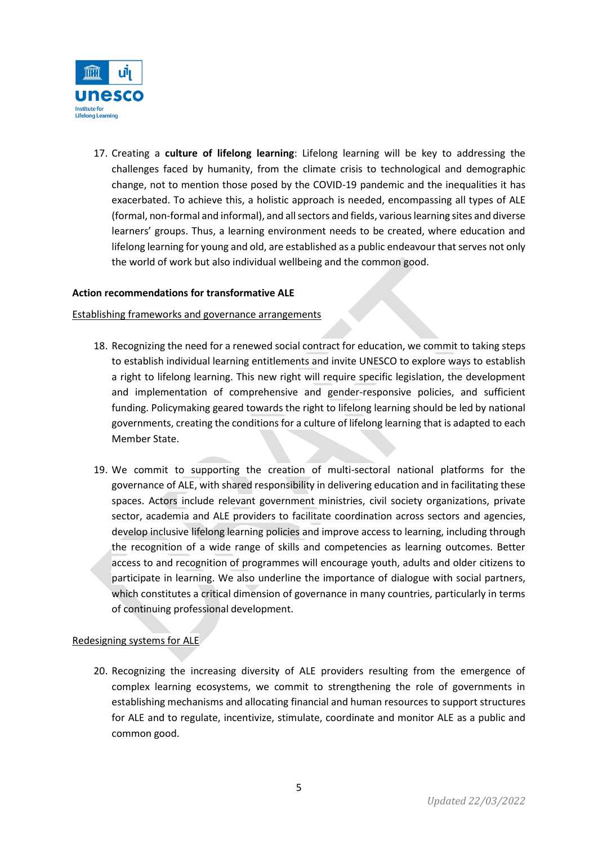

17. Creating a **culture of lifelong learning**: Lifelong learning will be key to addressing the challenges faced by humanity, from the climate crisis to technological and demographic change, not to mention those posed by the COVID-19 pandemic and the inequalities it has exacerbated. To achieve this, a holistic approach is needed, encompassing all types of ALE (formal, non-formal and informal), and all sectors and fields, various learning sites and diverse learners' groups. Thus, a learning environment needs to be created, where education and lifelong learning for young and old, are established as a public endeavour that serves not only the world of work but also individual wellbeing and the common good.

### **Action recommendations for transformative ALE**

### Establishing frameworks and governance arrangements

- 18. Recognizing the need for a renewed social contract for education, we commit to taking steps to establish individual learning entitlements and invite UNESCO to explore ways to establish a right to lifelong learning. This new right will require specific legislation, the development and implementation of comprehensive and gender-responsive policies, and sufficient funding. Policymaking geared towards the right to lifelong learning should be led by national governments, creating the conditions for a culture of lifelong learning that is adapted to each Member State.
- 19. We commit to supporting the creation of multi-sectoral national platforms for the governance of ALE, with shared responsibility in delivering education and in facilitating these spaces. Actors include relevant government ministries, civil society organizations, private sector, academia and ALE providers to facilitate coordination across sectors and agencies, develop inclusive lifelong learning policies and improve access to learning, including through the recognition of a wide range of skills and competencies as learning outcomes. Better access to and recognition of programmes will encourage youth, adults and older citizens to participate in learning. We also underline the importance of dialogue with social partners, which constitutes a critical dimension of governance in many countries, particularly in terms of continuing professional development.

### Redesigning systems for ALE

20. Recognizing the increasing diversity of ALE providers resulting from the emergence of complex learning ecosystems, we commit to strengthening the role of governments in establishing mechanisms and allocating financial and human resources to support structures for ALE and to regulate, incentivize, stimulate, coordinate and monitor ALE as a public and common good.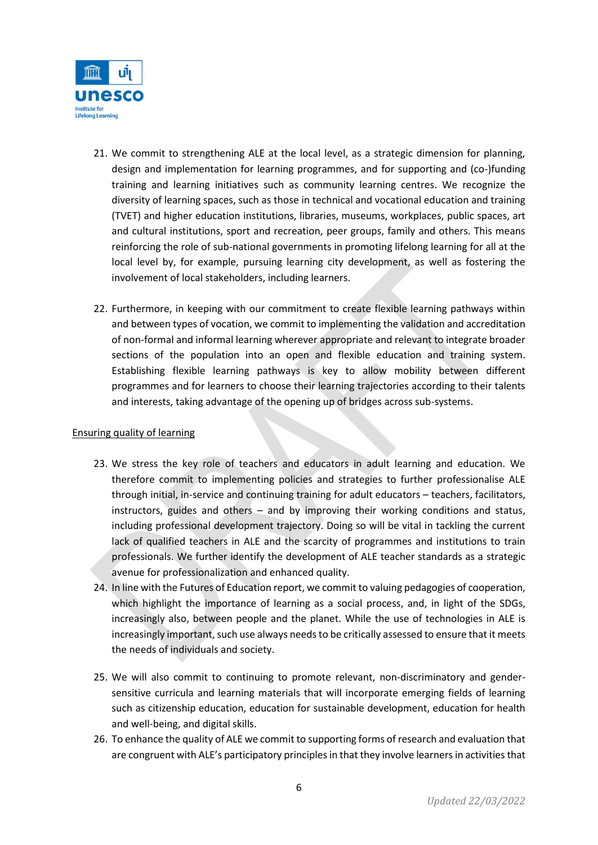

- 21. We commit to strengthening ALE at the local level, as a strategic dimension for planning, design and implementation for learning programmes, and for supporting and (co-)funding training and learning initiatives such as community learning centres. We recognize the diversity of learning spaces, such as those in technical and vocational education and training (TVET) and higher education institutions, libraries, museums, workplaces, public spaces, art and cultural institutions, sport and recreation, peer groups, family and others. This means reinforcing the role of sub-national governments in promoting lifelong learning for all at the local level by, for example, pursuing learning city development, as well as fostering the involvement of local stakeholders, including learners.
- 22. Furthermore, in keeping with our commitment to create flexible learning pathways within and between types of vocation, we commit to implementing the validation and accreditation of non-formal and informal learning wherever appropriate and relevant to integrate broader sections of the population into an open and flexible education and training system. Establishing flexible learning pathways is key to allow mobility between different programmes and for learners to choose their learning trajectories according to their talents and interests, taking advantage of the opening up of bridges across sub-systems.

### Ensuring quality of learning

- 23. We stress the key role of teachers and educators in adult learning and education. We therefore commit to implementing policies and strategies to further professionalise ALE through initial, in-service and continuing training for adult educators – teachers, facilitators, instructors, guides and others – and by improving their working conditions and status, including professional development trajectory. Doing so will be vital in tackling the current lack of qualified teachers in ALE and the scarcity of programmes and institutions to train professionals. We further identify the development of ALE teacher standards as a strategic avenue for professionalization and enhanced quality.
- 24. In line with the Futures of Education report, we commit to valuing pedagogies of cooperation, which highlight the importance of learning as a social process, and, in light of the SDGs, increasingly also, between people and the planet. While the use of technologies in ALE is increasingly important, such use always needs to be critically assessed to ensure that it meets the needs of individuals and society.
- 25. We will also commit to continuing to promote relevant, non-discriminatory and gendersensitive curricula and learning materials that will incorporate emerging fields of learning such as citizenship education, education for sustainable development, education for health and well-being, and digital skills.
- 26. To enhance the quality of ALE we commit to supporting forms of research and evaluation that are congruent with ALE's participatory principles in that they involve learners in activities that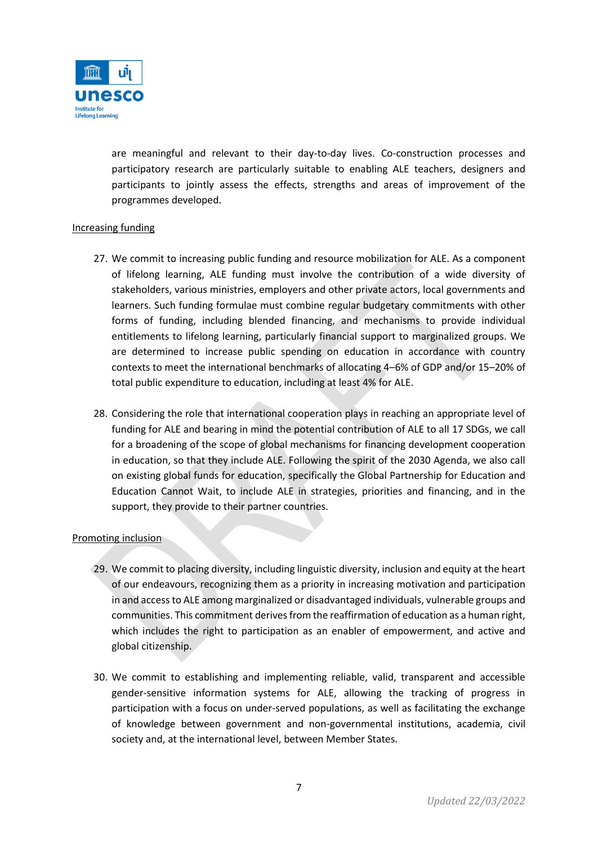

are meaningful and relevant to their day-to-day lives. Co-construction processes and participatory research are particularly suitable to enabling ALE teachers, designers and participants to jointly assess the effects, strengths and areas of improvement of the programmes developed.

# Increasing funding

- 27. We commit to increasing public funding and resource mobilization for ALE. As a component of lifelong learning, ALE funding must involve the contribution of a wide diversity of stakeholders, various ministries, employers and other private actors, local governments and learners. Such funding formulae must combine regular budgetary commitments with other forms of funding, including blended financing, and mechanisms to provide individual entitlements to lifelong learning, particularly financial support to marginalized groups. We are determined to increase public spending on education in accordance with country contexts to meet the international benchmarks of allocating 4–6% of GDP and/or 15–20% of total public expenditure to education, including at least 4% for ALE.
- 28. Considering the role that international cooperation plays in reaching an appropriate level of funding for ALE and bearing in mind the potential contribution of ALE to all 17 SDGs, we call for a broadening of the scope of global mechanisms for financing development cooperation in education, so that they include ALE. Following the spirit of the 2030 Agenda, we also call on existing global funds for education, specifically the Global Partnership for Education and Education Cannot Wait, to include ALE in strategies, priorities and financing, and in the support, they provide to their partner countries.

### Promoting inclusion

- 29. We commit to placing diversity, including linguistic diversity, inclusion and equity at the heart of our endeavours, recognizing them as a priority in increasing motivation and participation in and access to ALE among marginalized or disadvantaged individuals, vulnerable groups and communities. This commitment derives from the reaffirmation of education as a human right, which includes the right to participation as an enabler of empowerment, and active and global citizenship.
- 30. We commit to establishing and implementing reliable, valid, transparent and accessible gender-sensitive information systems for ALE, allowing the tracking of progress in participation with a focus on under-served populations, as well as facilitating the exchange of knowledge between government and non-governmental institutions, academia, civil society and, at the international level, between Member States.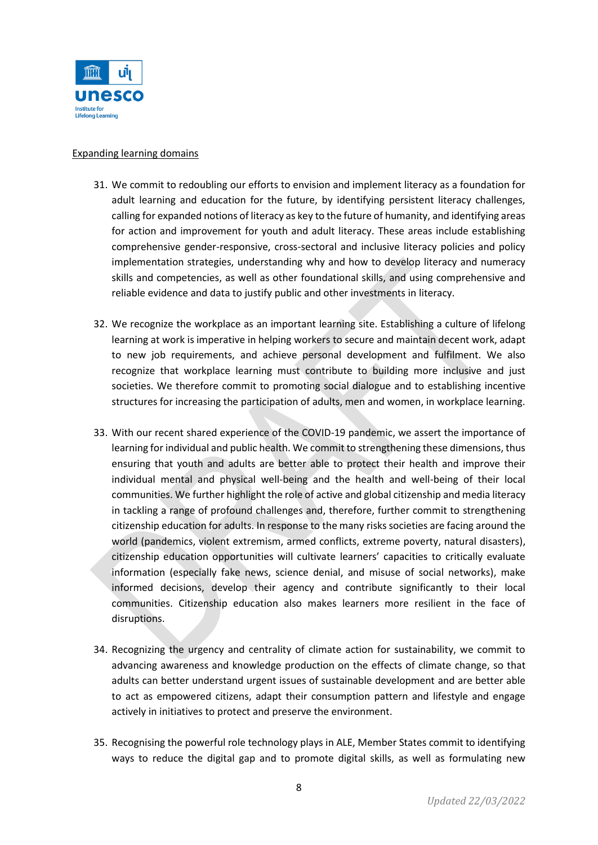

### Expanding learning domains

- 31. We commit to redoubling our efforts to envision and implement literacy as a foundation for adult learning and education for the future, by identifying persistent literacy challenges, calling for expanded notions of literacy as key to the future of humanity, and identifying areas for action and improvement for youth and adult literacy. These areas include establishing comprehensive gender-responsive, cross-sectoral and inclusive literacy policies and policy implementation strategies, understanding why and how to develop literacy and numeracy skills and competencies, as well as other foundational skills, and using comprehensive and reliable evidence and data to justify public and other investments in literacy.
- 32. We recognize the workplace as an important learning site. Establishing a culture of lifelong learning at work is imperative in helping workers to secure and maintain decent work, adapt to new job requirements, and achieve personal development and fulfilment. We also recognize that workplace learning must contribute to building more inclusive and just societies. We therefore commit to promoting social dialogue and to establishing incentive structures for increasing the participation of adults, men and women, in workplace learning.
- 33. With our recent shared experience of the COVID-19 pandemic, we assert the importance of learning for individual and public health. We commit to strengthening these dimensions, thus ensuring that youth and adults are better able to protect their health and improve their individual mental and physical well-being and the health and well-being of their local communities. We further highlight the role of active and global citizenship and media literacy in tackling a range of profound challenges and, therefore, further commit to strengthening citizenship education for adults. In response to the many risks societies are facing around the world (pandemics, violent extremism, armed conflicts, extreme poverty, natural disasters), citizenship education opportunities will cultivate learners' capacities to critically evaluate information (especially fake news, science denial, and misuse of social networks), make informed decisions, develop their agency and contribute significantly to their local communities. Citizenship education also makes learners more resilient in the face of disruptions.
- 34. Recognizing the urgency and centrality of climate action for sustainability, we commit to advancing awareness and knowledge production on the effects of climate change, so that adults can better understand urgent issues of sustainable development and are better able to act as empowered citizens, adapt their consumption pattern and lifestyle and engage actively in initiatives to protect and preserve the environment.
- 35. Recognising the powerful role technology plays in ALE, Member States commit to identifying ways to reduce the digital gap and to promote digital skills, as well as formulating new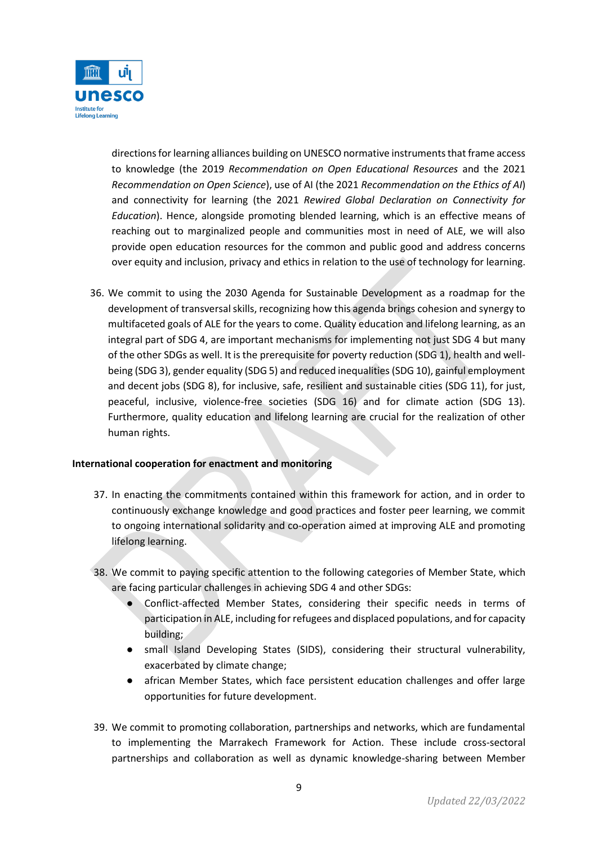

directions for learning alliances building on UNESCO normative instruments that frame access to knowledge (the 2019 *Recommendation on Open Educational Resources* and the 2021 *Recommendation on Open Science*), use of AI (the 2021 *Recommendation on the Ethics of AI*) and connectivity for learning (the 2021 *Rewired Global Declaration on Connectivity for Education*). Hence, alongside promoting blended learning, which is an effective means of reaching out to marginalized people and communities most in need of ALE, we will also provide open education resources for the common and public good and address concerns over equity and inclusion, privacy and ethics in relation to the use of technology for learning.

36. We commit to using the 2030 Agenda for Sustainable Development as a roadmap for the development of transversal skills, recognizing how this agenda brings cohesion and synergy to multifaceted goals of ALE for the years to come. Quality education and lifelong learning, as an integral part of SDG 4, are important mechanisms for implementing not just SDG 4 but many of the other SDGs as well. It is the prerequisite for poverty reduction (SDG 1), health and wellbeing (SDG 3), gender equality (SDG 5) and reduced inequalities (SDG 10), gainful employment and decent jobs (SDG 8), for inclusive, safe, resilient and sustainable cities (SDG 11), for just, peaceful, inclusive, violence-free societies (SDG 16) and for climate action (SDG 13). Furthermore, quality education and lifelong learning are crucial for the realization of other human rights.

### **International cooperation for enactment and monitoring**

- 37. In enacting the commitments contained within this framework for action, and in order to continuously exchange knowledge and good practices and foster peer learning, we commit to ongoing international solidarity and co-operation aimed at improving ALE and promoting lifelong learning.
- 38. We commit to paying specific attention to the following categories of Member State, which are facing particular challenges in achieving SDG 4 and other SDGs:
	- Conflict-affected Member States, considering their specific needs in terms of participation in ALE, including for refugees and displaced populations, and for capacity building;
	- small Island Developing States (SIDS), considering their structural vulnerability, exacerbated by climate change;
	- african Member States, which face persistent education challenges and offer large opportunities for future development.
- 39. We commit to promoting collaboration, partnerships and networks, which are fundamental to implementing the Marrakech Framework for Action. These include cross-sectoral partnerships and collaboration as well as dynamic knowledge-sharing between Member